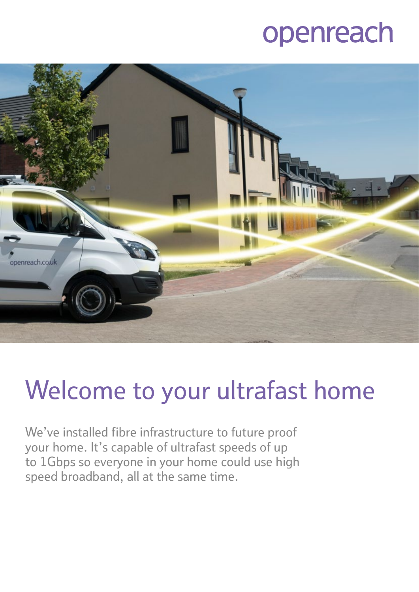## openreach



# Welcome to your ultrafast home

We've installed fibre infrastructure to future proof your home. It's capable of ultrafast speeds of up to 1Gbps so everyone in your home could use high speed broadband, all at the same time.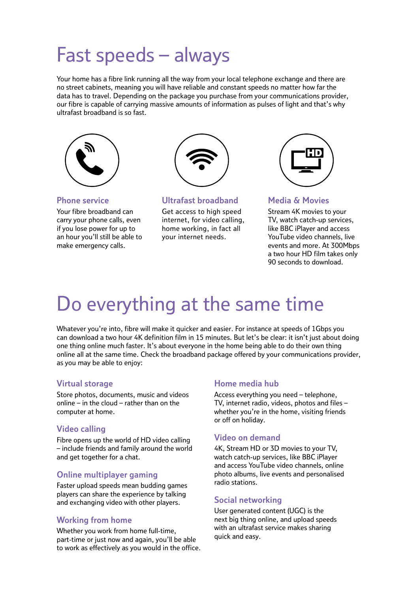### Fast speeds – always

Your home has a fibre link running all the way from your local telephone exchange and there are no street cabinets, meaning you will have reliable and constant speeds no matter how far the data has to travel. Depending on the package you purchase from your communications provider, our fibre is capable of carrying massive amounts of information as pulses of light and that's why ultrafast broadband is so fast.



**Phone service**

Your fibre broadband can carry your phone calls, even if you lose power for up to an hour you'll still be able to make emergency calls.



#### **Ultrafast broadband**

Get access to high speed internet, for video calling, home working, in fact all your internet needs.



#### **Media & Movies**

Stream 4K movies to your TV, watch catch-up services, like BBC iPlayer and access YouTube video channels, live events and more. At 300Mbps a two hour HD film takes only 90 seconds to download.

### Do everything at the same time

Whatever you're into, fibre will make it quicker and easier. For instance at speeds of 1Gbps you can download a two hour 4K definition film in 15 minutes. But let's be clear: it isn't just about doing one thing online much faster. It's about everyone in the home being able to do their own thing online all at the same time. Check the broadband package offered by your communications provider, as you may be able to enjoy:

#### **Virtual storage**

Store photos, documents, music and videos online – in the cloud – rather than on the computer at home.

#### **Video calling**

Fibre opens up the world of HD video calling – include friends and family around the world and get together for a chat.

#### **Online multiplayer gaming**

Faster upload speeds mean budding games players can share the experience by talking and exchanging video with other players.

#### **Working from home**

Whether you work from home full-time, part-time or just now and again, you'll be able to work as effectively as you would in the office.

#### **Home media hub**

Access everything you need – telephone, TV, internet radio, videos, photos and files – whether you're in the home, visiting friends or off on holiday.

#### **Video on demand**

4K, Stream HD or 3D movies to your TV, watch catch-up services, like BBC iPlayer and access YouTube video channels, online photo albums, live events and personalised radio stations.

#### **Social networking**

User generated content (UGC) is the next big thing online, and upload speeds with an ultrafast service makes sharing quick and easy.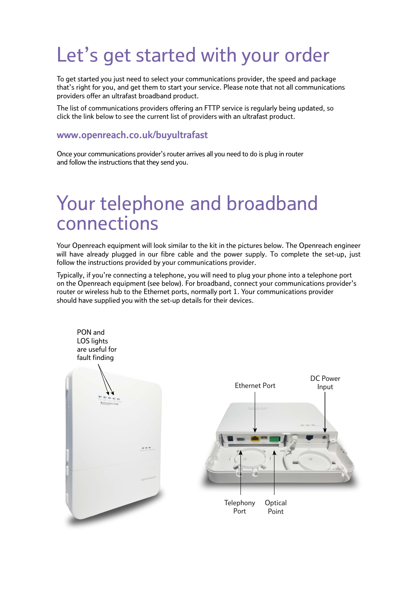### Let's get started with your order

To get started you just need to select your communications provider, the speed and package that's right for you, and get them to start your service. Please note that not all communications providers offer an ultrafast broadband product.

The list of communications providers offering an FTTP service is regularly being updated, so click the link below to see the current list of providers with an ultrafast product.

#### **[www.openreach.co.uk/buyultrafast](http://www.openreach.co.uk/buyultrafast)**

Once your communications provider's router arrives all you need to do is plug in router and follow the instructions that they send you.

### Your telephone and broadband connections

Your Openreach equipment will look similar to the kit in the pictures below. The Openreach engineer will have already plugged in our fibre cable and the power supply. To complete the set-up, just follow the instructions provided by your communications provider.

Typically, if you're connecting a telephone, you will need to plug your phone into a telephone port on the Openreach equipment (see below). For broadband, connect your communications provider's router or wireless hub to the Ethernet ports, normally port 1. Your communications provider should have supplied you with the set-up details for their devices.

PON and LOS lights are useful for fault finding